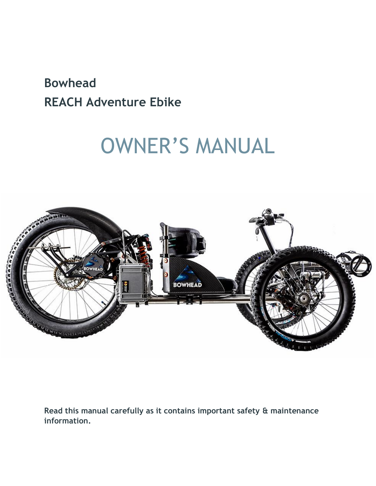# **Bowhead REACH Adventure Ebike**

# OWNER'S MANUAL



**Read this manual carefully as it contains important safety & maintenance information.**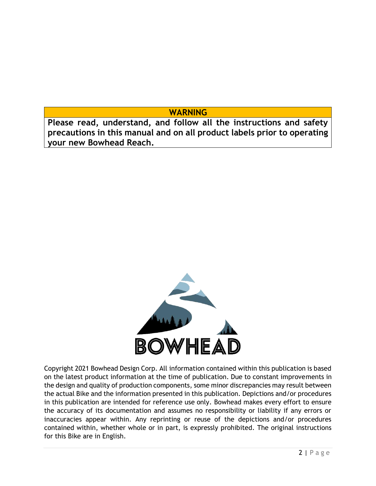**WARNING**

**Please read, understand, and follow all the instructions and safety precautions in this manual and on all product labels prior to operating your new Bowhead Reach.**



Copyright 2021 Bowhead Design Corp. All information contained within this publication is based on the latest product information at the time of publication. Due to constant improvements in the design and quality of production components, some minor discrepancies may result between the actual Bike and the information presented in this publication. Depictions and/or procedures in this publication are intended for reference use only. Bowhead makes every effort to ensure the accuracy of its documentation and assumes no responsibility or liability if any errors or inaccuracies appear within. Any reprinting or reuse of the depictions and/or procedures contained within, whether whole or in part, is expressly prohibited. The original instructions for this Bike are in English.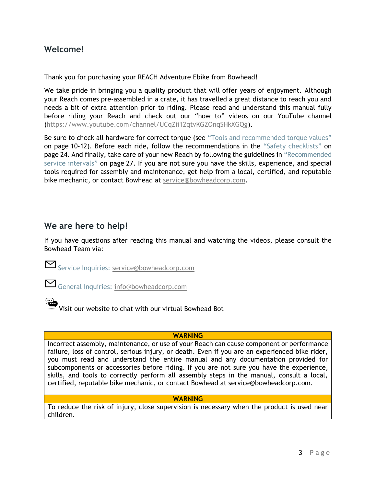# **Welcome!**

Thank you for purchasing your REACH Adventure Ebike from Bowhead!

We take pride in bringing you a quality product that will offer years of enjoyment. Although your Reach comes pre-assembled in a crate, it has travelled a great distance to reach you and needs a bit of extra attention prior to riding. Please read and understand this manual fully before riding your Reach and check out our "how to" videos on our YouTube channel (https://www.youtube.com/channel/UCqZii12qtvKGZOnqSHkXGQg).

Be sure to check all hardware for correct torque (see "Tools and recommended torque values" on page 10-12). Before each ride, follow the recommendations in the "Safety checklists" on page 24. And finally, take care of your new Reach by following the guidelines in "Recommended service intervals" on page 27. If you are not sure you have the skills, experience, and special tools required for assembly and maintenance, get help from a local, certified, and reputable bike mechanic, or contact Bowhead at service@bowheadcorp.com.

# **We are here to help!**

If you have questions after reading this manual and watching the videos, please consult the Bowhead Team via:

Service Inquiries: [service@bowheadcorp.com](mailto:service@bowheadcorp.com)

General Inquiries: [info@bowheadcorp.com](mailto:info@bowheadcorp.com)

Visit our website to chat with our virtual Bowhead Bot

### **WARNING**

Incorrect assembly, maintenance, or use of your Reach can cause component or performance failure, loss of control, serious injury, or death. Even if you are an experienced bike rider, you must read and understand the entire manual and any documentation provided for subcomponents or accessories before riding. If you are not sure you have the experience, skills, and tools to correctly perform all assembly steps in the manual, consult a local, certified, reputable bike mechanic, or contact Bowhead at service@bowheadcorp.com.

### **WARNING**

To reduce the risk of injury, close supervision is necessary when the product is used near children.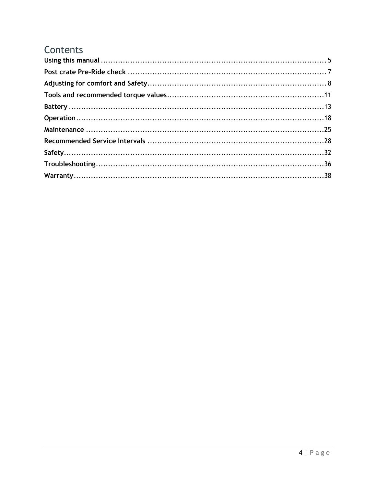# Contents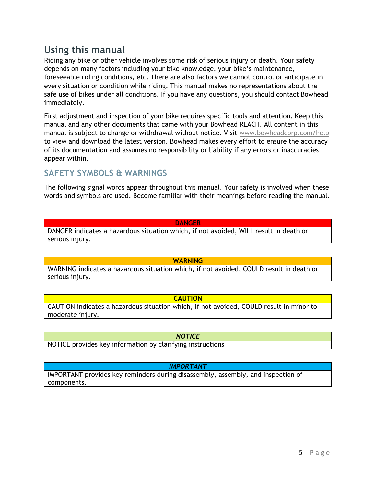# <span id="page-4-0"></span>**Using this manual**

Riding any bike or other vehicle involves some risk of serious injury or death. Your safety depends on many factors including your bike knowledge, your bike's maintenance, foreseeable riding conditions, etc. There are also factors we cannot control or anticipate in every situation or condition while riding. This manual makes no representations about the safe use of bikes under all conditions. If you have any questions, you should contact Bowhead immediately.

First adjustment and inspection of your bike requires specific tools and attention. Keep this manual and any other documents that came with your Bowhead REACH. All content in this manual is subject to change or withdrawal without notice. Visit [www.bowheadcorp.com/help](http://www.bowheadcorp.com/help) to view and download the latest version. Bowhead makes every effort to ensure the accuracy of its documentation and assumes no responsibility or liability if any errors or inaccuracies appear within.

# **SAFETY SYMBOLS & WARNINGS**

The following signal words appear throughout this manual. Your safety is involved when these words and symbols are used. Become familiar with their meanings before reading the manual.

#### **DANGER**

DANGER indicates a hazardous situation which, if not avoided, WILL result in death or serious injury.

#### **WARNING**

WARNING indicates a hazardous situation which, if not avoided, COULD result in death or serious injury.

### **CAUTION**

CAUTION indicates a hazardous situation which, if not avoided, COULD result in minor to moderate injury.

### *NOTICE*

NOTICE provides key information by clarifying instructions

#### *IMPORTANT*

IMPORTANT provides key reminders during disassembly, assembly, and inspection of components.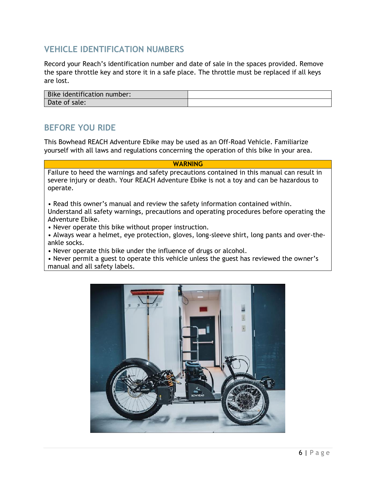# **VEHICLE IDENTIFICATION NUMBERS**

Record your Reach's identification number and date of sale in the spaces provided. Remove the spare throttle key and store it in a safe place. The throttle must be replaced if all keys are lost.

| Bike identification number: |  |
|-----------------------------|--|
| Date of sale:               |  |

# **BEFORE YOU RIDE**

This Bowhead REACH Adventure Ebike may be used as an Off-Road Vehicle. Familiarize yourself with all laws and regulations concerning the operation of this bike in your area.

#### **WARNING**

Failure to heed the warnings and safety precautions contained in this manual can result in severe injury or death. Your REACH Adventure Ebike is not a toy and can be hazardous to operate.

• Read this owner's manual and review the safety information contained within. Understand all safety warnings, precautions and operating procedures before operating the Adventure Ebike.

• Never operate this bike without proper instruction.

• Always wear a helmet, eye protection, gloves, long-sleeve shirt, long pants and over-theankle socks.

• Never operate this bike under the influence of drugs or alcohol.

• Never permit a guest to operate this vehicle unless the guest has reviewed the owner's manual and all safety labels.

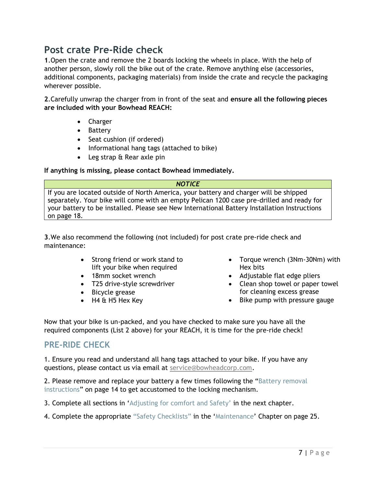# <span id="page-6-0"></span>**Post crate Pre-Ride check**

**1**.Open the crate and remove the 2 boards locking the wheels in place. With the help of another person, slowly roll the bike out of the crate. Remove anything else (accessories, additional components, packaging materials) from inside the crate and recycle the packaging wherever possible.

**2**.Carefully unwrap the charger from in front of the seat and **ensure all the following pieces are included with your Bowhead REACH:**

- Charger
- Battery
- Seat cushion (if ordered)
- Informational hang tags (attached to bike)
- Leg strap & Rear axle pin

### **If anything is missing, please contact Bowhead immediately.**

*NOTICE*

If you are located outside of North America, your battery and charger will be shipped separately. Your bike will come with an empty Pelican 1200 case pre-drilled and ready for your battery to be installed. Please see New International Battery Installation Instructions on page 18.

**3**.We also recommend the following (not included) for post crate pre-ride check and maintenance:

- Strong friend or work stand to lift your bike when required
- 18mm socket wrench
- T25 drive-style screwdriver
- Bicycle grease
- H4 & H5 Hex Key
- Torque wrench (3Nm-30Nm) with Hex bits
- Adjustable flat edge pliers
- Clean shop towel or paper towel for cleaning excess grease
- Bike pump with pressure gauge

Now that your bike is un-packed, and you have checked to make sure you have all the required components (List 2 above) for your REACH, it is time for the pre-ride check!

# **PRE-RIDE CHECK**

1. Ensure you read and understand all hang tags attached to your bike. If you have any questions, please contact us via email at [service@bowheadcorp.com.](mailto:service@bowheadcorp.com)

2. Please remove and replace your battery a few times following the "Battery removal instructions" on page 14 to get accustomed to the locking mechanism.

3. Complete all sections in 'Adjusting for comfort and Safety' in the next chapter.

4. Complete the appropriate "Safety Checklists" in the 'Maintenance' Chapter on page 25.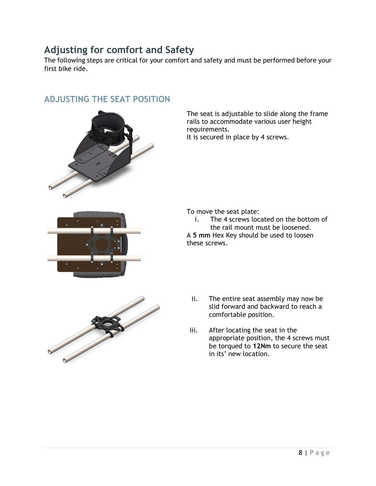# <span id="page-7-0"></span>**Adjusting for comfort and Safety**

The following steps are critical for your comfort and safety and must be performed before your first bike ride.

# **ADJUSTING THE SEAT POSITION**



The seat is adjustable to slide along the frame rails to accommodate various user height requirements.

It is secured in place by 4 screws.



To move the seat plate:

i. The 4 screws located on the bottom of the rail mount must be loosened. A **5 mm** Hex Key should be used to loosen

these screws.



- ii. The entire seat assembly may now be slid forward and backward to reach a comfortable position.
- iii. After locating the seat in the appropriate position, the 4 screws must be torqued to **12Nm** to secure the seat in its' new location.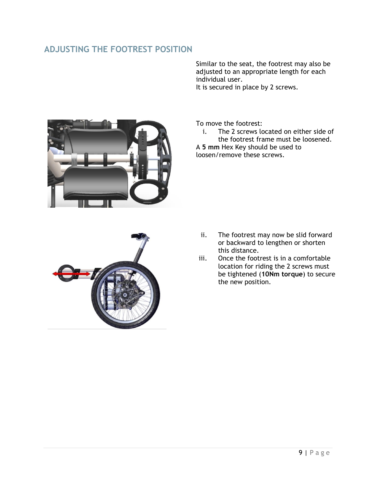# **ADJUSTING THE FOOTREST POSITION**

Similar to the seat, the footrest may also be adjusted to an appropriate length for each individual user. It is secured in place by 2 screws.



To move the footrest:

i. The 2 screws located on either side of the footrest frame must be loosened. A **5 mm** Hex Key should be used to

loosen/remove these screws.



- ii. The footrest may now be slid forward or backward to lengthen or shorten this distance.
- iii. Once the footrest is in a comfortable location for riding the 2 screws must be tightened (**10Nm torque**) to secure the new position.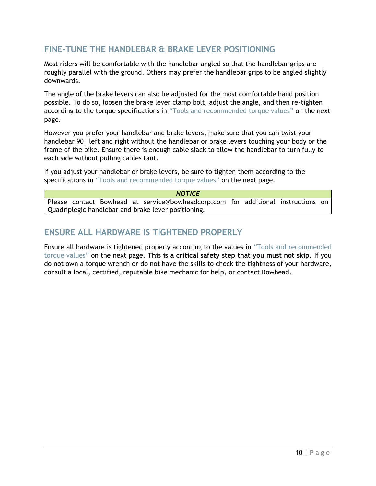# **FINE-TUNE THE HANDLEBAR & BRAKE LEVER POSITIONING**

Most riders will be comfortable with the handlebar angled so that the handlebar grips are roughly parallel with the ground. Others may prefer the handlebar grips to be angled slightly downwards.

The angle of the brake levers can also be adjusted for the most comfortable hand position possible. To do so, loosen the brake lever clamp bolt, adjust the angle, and then re-tighten according to the torque specifications in "Tools and recommended torque values" on the next page.

However you prefer your handlebar and brake levers, make sure that you can twist your handlebar 90° left and right without the handlebar or brake levers touching your body or the frame of the bike. Ensure there is enough cable slack to allow the handlebar to turn fully to each side without pulling cables taut.

If you adjust your handlebar or brake levers, be sure to tighten them according to the specifications in "Tools and recommended torque values" on the next page.

*NOTICE* Please contact Bowhead at service@bowheadcorp.com for additional instructions on Quadriplegic handlebar and brake lever positioning.

# **ENSURE ALL HARDWARE IS TIGHTENED PROPERLY**

Ensure all hardware is tightened properly according to the values in "Tools and recommended torque values" on the next page. **This is a critical safety step that you must not skip.** If you do not own a torque wrench or do not have the skills to check the tightness of your hardware, consult a local, certified, reputable bike mechanic for help, or contact Bowhead.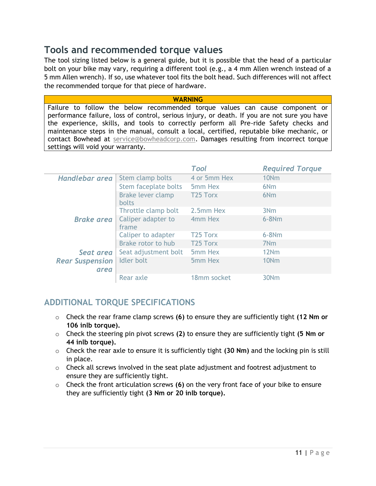# <span id="page-10-0"></span>**Tools and recommended torque values**

The tool sizing listed below is a general guide, but it is possible that the head of a particular bolt on your bike may vary, requiring a different tool (e.g., a 4 mm Allen wrench instead of a 5 mm Allen wrench). If so, use whatever tool fits the bolt head. Such differences will not affect the recommended torque for that piece of hardware.

#### **WARNING**

Failure to follow the below recommended torque values can cause component or performance failure, loss of control, serious injury, or death. If you are not sure you have the experience, skills, and tools to correctly perform all Pre-ride Safety checks and maintenance steps in the manual, consult a local, certified, reputable bike mechanic, or contact Bowhead at [service@bowheadcorp.com.](mailto:service@bowheadcorp.com) Damages resulting from incorrect torque settings will void your warranty.

|                                |                                   | Tool                 | <b>Required Torque</b> |
|--------------------------------|-----------------------------------|----------------------|------------------------|
| Handlebar area                 | Stem clamp bolts                  | 4 or 5mm Hex         | 10 <sub>Nm</sub>       |
|                                | Stem faceplate bolts              | 5mm Hex              | 6N <sub>m</sub>        |
|                                | Brake lever clamp<br><b>bolts</b> | T <sub>25</sub> Torx | 6 <sub>Nm</sub>        |
|                                | Throttle clamp bolt               | 2.5mm Hex            | 3 <sub>Nm</sub>        |
| <b>Brake area</b>              | Caliper adapter to<br>frame       | 4mm Hex              | $6 - 8$ Nm             |
|                                | Caliper to adapter                | T <sub>25</sub> Torx | $6 - 8$ Nm             |
|                                | Brake rotor to hub                | T <sub>25</sub> Torx | 7 <sub>Nm</sub>        |
| Seat area                      | Seat adjustment bolt              | 5mm Hex              | 12 <sub>Nm</sub>       |
| <b>Rear Suspension</b><br>area | <b>Idler</b> bolt                 | 5mm Hex              | 10 <sub>Nm</sub>       |
|                                | Rear axle                         | 18mm socket          | 30 <sub>Nm</sub>       |

# **ADDITIONAL TORQUE SPECIFICATIONS**

- o Check the rear frame clamp screws **(6)** to ensure they are sufficiently tight **(12 Nm or 106 inlb torque).**
- o Check the steering pin pivot screws **(2)** to ensure they are sufficiently tight **(5 Nm or 44 inlb torque).**
- o Check the rear axle to ensure it is sufficiently tight **(30 Nm)** and the locking pin is still in place.
- o Check all screws involved in the seat plate adjustment and footrest adjustment to ensure they are sufficiently tight.
- o Check the front articulation screws **(6)** on the very front face of your bike to ensure they are sufficiently tight **(3 Nm or 20 inlb torque).**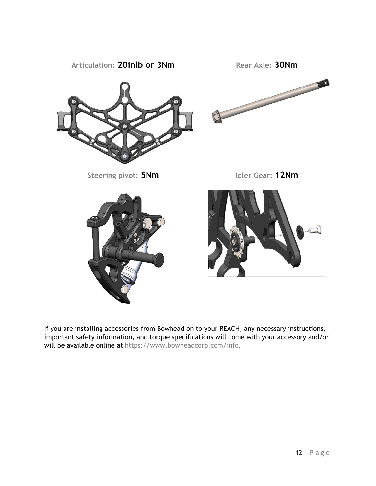

<span id="page-11-0"></span>If you are installing accessories from Bowhead on to your REACH, any necessary instructions, important safety information, and torque specifications will come with your accessory and/or will be available online at [https://www.bowheadcorp.com/info.](https://www.bowheadcorp.com/info)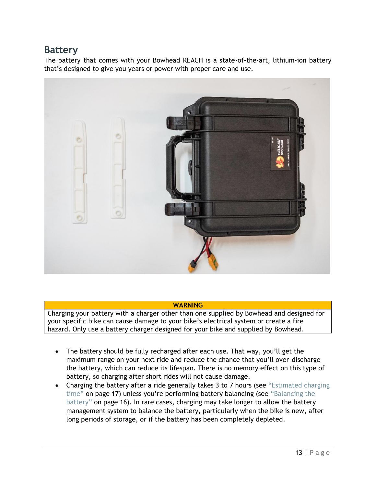# **Battery**

The battery that comes with your Bowhead REACH is a state-of-the-art, lithium-ion battery that's designed to give you years or power with proper care and use.



#### **WARNING**

Charging your battery with a charger other than one supplied by Bowhead and designed for your specific bike can cause damage to your bike's electrical system or create a fire hazard. Only use a battery charger designed for your bike and supplied by Bowhead.

- The battery should be fully recharged after each use. That way, you'll get the maximum range on your next ride and reduce the chance that you'll over-discharge the battery, which can reduce its lifespan. There is no memory effect on this type of battery, so charging after short rides will not cause damage.
- Charging the battery after a ride generally takes 3 to 7 hours (see "Estimated charging time" on page 17) unless you're performing battery balancing (see "Balancing the battery" on page 16). In rare cases, charging may take longer to allow the battery management system to balance the battery, particularly when the bike is new, after long periods of storage, or if the battery has been completely depleted.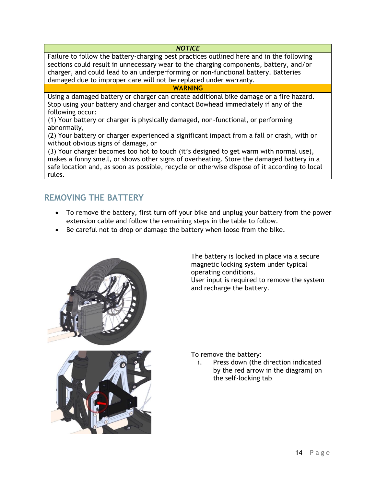### *NOTICE*

Failure to follow the battery-charging best practices outlined here and in the following sections could result in unnecessary wear to the charging components, battery, and/or charger, and could lead to an underperforming or non-functional battery. Batteries damaged due to improper care will not be replaced under warranty.

### **WARNING**

Using a damaged battery or charger can create additional bike damage or a fire hazard. Stop using your battery and charger and contact Bowhead immediately if any of the following occur:

(1) Your battery or charger is physically damaged, non-functional, or performing abnormally,

(2) Your battery or charger experienced a significant impact from a fall or crash, with or without obvious signs of damage, or

(3) Your charger becomes too hot to touch (it's designed to get warm with normal use), makes a funny smell, or shows other signs of overheating. Store the damaged battery in a safe location and, as soon as possible, recycle or otherwise dispose of it according to local rules.

# **REMOVING THE BATTERY**

- To remove the battery, first turn off your bike and unplug your battery from the power extension cable and follow the remaining steps in the table to follow.
- Be careful not to drop or damage the battery when loose from the bike.



The battery is locked in place via a secure magnetic locking system under typical operating conditions. User input is required to remove the system and recharge the battery.



To remove the battery:

i. Press down (the direction indicated by the red arrow in the diagram) on the self-locking tab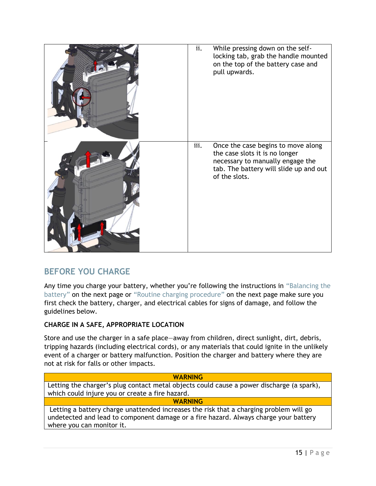| ii.  | While pressing down on the self-<br>locking tab, grab the handle mounted<br>on the top of the battery case and<br>pull upwards.                                     |
|------|---------------------------------------------------------------------------------------------------------------------------------------------------------------------|
| iii. | Once the case begins to move along<br>the case slots it is no longer<br>necessary to manually engage the<br>tab. The battery will slide up and out<br>of the slots. |

# **BEFORE YOU CHARGE**

Any time you charge your battery, whether you're following the instructions in "Balancing the battery" on the next page or "Routine charging procedure" on the next page make sure you first check the battery, charger, and electrical cables for signs of damage, and follow the guidelines below.

# **CHARGE IN A SAFE, APPROPRIATE LOCATION**

Store and use the charger in a safe place—away from children, direct sunlight, dirt, debris, tripping hazards (including electrical cords), or any materials that could ignite in the unlikely event of a charger or battery malfunction. Position the charger and battery where they are not at risk for falls or other impacts.

| <b>WARNING</b>                                                                                                                                                                                              |
|-------------------------------------------------------------------------------------------------------------------------------------------------------------------------------------------------------------|
| Letting the charger's plug contact metal objects could cause a power discharge (a spark),                                                                                                                   |
| which could injure you or create a fire hazard.                                                                                                                                                             |
| <b>WARNING</b>                                                                                                                                                                                              |
| Letting a battery charge unattended increases the risk that a charging problem will go<br>undetected and lead to component damage or a fire hazard. Always charge your battery<br>where you can monitor it. |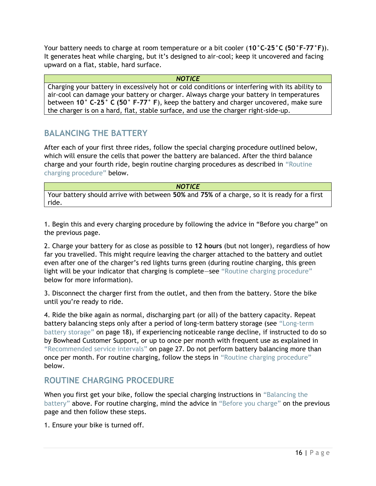Your battery needs to charge at room temperature or a bit cooler (**10°C–25°C (50°F–77°F)**). It generates heat while charging, but it's designed to air-cool; keep it uncovered and facing upward on a flat, stable, hard surface.

*NOTICE*

Charging your battery in excessively hot or cold conditions or interfering with its ability to air-cool can damage your battery or charger. Always charge your battery in temperatures between **10° C–25° C (50° F–77° F**), keep the battery and charger uncovered, make sure the charger is on a hard, flat, stable surface, and use the charger right-side-up.

# **BALANCING THE BATTERY**

After each of your first three rides, follow the special charging procedure outlined below, which will ensure the cells that power the battery are balanced. After the third balance charge and your fourth ride, begin routine charging procedures as described in "Routine charging procedure" below.

#### *NOTICE*

Your battery should arrive with between **50%** and **75%** of a charge, so it is ready for a first ride.

1. Begin this and every charging procedure by following the advice in "Before you charge" on the previous page.

2. Charge your battery for as close as possible to **12 hours** (but not longer), regardless of how far you travelled. This might require leaving the charger attached to the battery and outlet even after one of the charger's red lights turns green (during routine charging, this green light will be your indicator that charging is complete—see "Routine charging procedure" below for more information).

3. Disconnect the charger first from the outlet, and then from the battery. Store the bike until you're ready to ride.

4. Ride the bike again as normal, discharging part (or all) of the battery capacity. Repeat battery balancing steps only after a period of long-term battery storage (see "Long-term battery storage" on page 18), if experiencing noticeable range decline, if instructed to do so by Bowhead Customer Support, or up to once per month with frequent use as explained in "Recommended service intervals" on page 27. Do not perform battery balancing more than once per month. For routine charging, follow the steps in "Routine charging procedure" below.

# **ROUTINE CHARGING PROCEDURE**

When you first get your bike, follow the special charging instructions in "Balancing the battery" above. For routine charging, mind the advice in "Before you charge" on the previous page and then follow these steps.

1. Ensure your bike is turned off.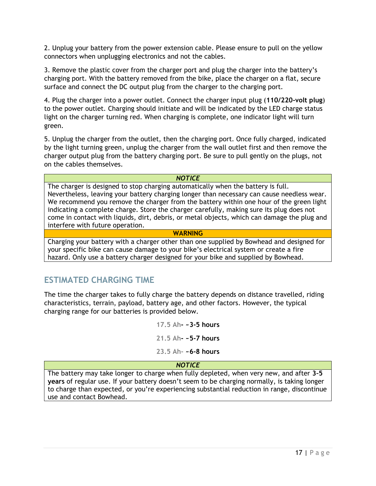2. Unplug your battery from the power extension cable. Please ensure to pull on the yellow connectors when unplugging electronics and not the cables.

3. Remove the plastic cover from the charger port and plug the charger into the battery's charging port. With the battery removed from the bike, place the charger on a flat, secure surface and connect the DC output plug from the charger to the charging port.

4. Plug the charger into a power outlet. Connect the charger input plug (**110/220-volt plug**) to the power outlet. Charging should initiate and will be indicated by the LED charge status light on the charger turning red. When charging is complete, one indicator light will turn green.

5. Unplug the charger from the outlet, then the charging port. Once fully charged, indicated by the light turning green, unplug the charger from the wall outlet first and then remove the charger output plug from the battery charging port. Be sure to pull gently on the plugs, not on the cables themselves.

#### *NOTICE*

The charger is designed to stop charging automatically when the battery is full. Nevertheless, leaving your battery charging longer than necessary can cause needless wear. We recommend you remove the charger from the battery within one hour of the green light indicating a complete charge. Store the charger carefully, making sure its plug does not come in contact with liquids, dirt, debris, or metal objects, which can damage the plug and interfere with future operation.

### **WARNING**

Charging your battery with a charger other than one supplied by Bowhead and designed for your specific bike can cause damage to your bike's electrical system or create a fire hazard. Only use a battery charger designed for your bike and supplied by Bowhead.

# **ESTIMATED CHARGING TIME**

The time the charger takes to fully charge the battery depends on distance travelled, riding characteristics, terrain, payload, battery age, and other factors. However, the typical charging range for our batteries is provided below.

> **17.5 Ah- ~3-5 hours 21.5 Ah- ~5-7 hours 23.5 Ah- ~6-8 hours**

### *NOTICE*

The battery may take longer to charge when fully depleted, when very new, and after **3–5 years** of regular use. If your battery doesn't seem to be charging normally, is taking longer to charge than expected, or you're experiencing substantial reduction in range, discontinue use and contact Bowhead.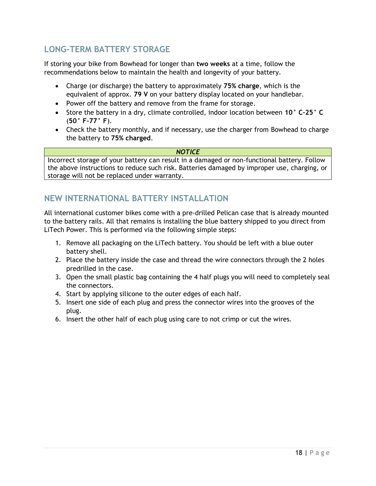# **LONG-TERM BATTERY STORAGE**

If storing your bike from Bowhead for longer than **two weeks** at a time, follow the recommendations below to maintain the health and longevity of your battery.

- Charge (or discharge) the battery to approximately **75% charge**, which is the equivalent of approx. **79 V** on your battery display located on your handlebar.
- Power off the battery and remove from the frame for storage.
- Store the battery in a dry, climate controlled, indoor location between **10° C–25° C** (**50° F–77° F**).
- Check the battery monthly, and if necessary, use the charger from Bowhead to charge the battery to **75% charged**.

#### *NOTICE*

Incorrect storage of your battery can result in a damaged or non-functional battery. Follow the above instructions to reduce such risk. Batteries damaged by improper use, charging, or storage will not be replaced under warranty.

# <span id="page-17-0"></span>**NEW INTERNATIONAL BATTERY INSTALLATION**

All international customer bikes come with a pre-drilled Pelican case that is already mounted to the battery rails. All that remains is installing the blue battery shipped to you direct from LiTech Power. This is performed via the following simple steps:

- 1. Remove all packaging on the LiTech battery. You should be left with a blue outer battery shell.
- 2. Place the battery inside the case and thread the wire connectors through the 2 holes predrilled in the case.
- 3. Open the small plastic bag containing the 4 half plugs you will need to completely seal the connectors.
- 4. Start by applying silicone to the outer edges of each half.
- 5. Insert one side of each plug and press the connector wires into the grooves of the plug.
- 6. Insert the other half of each plug using care to not crimp or cut the wires.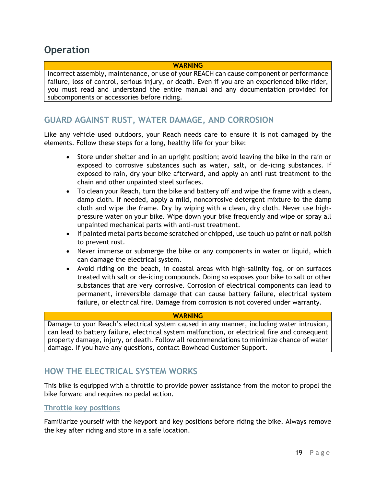# **Operation**

### **WARNING**

Incorrect assembly, maintenance, or use of your REACH can cause component or performance failure, loss of control, serious injury, or death. Even if you are an experienced bike rider, you must read and understand the entire manual and any documentation provided for subcomponents or accessories before riding.

# **GUARD AGAINST RUST, WATER DAMAGE, AND CORROSION**

Like any vehicle used outdoors, your Reach needs care to ensure it is not damaged by the elements. Follow these steps for a long, healthy life for your bike:

- Store under shelter and in an upright position; avoid leaving the bike in the rain or exposed to corrosive substances such as water, salt, or de-icing substances. If exposed to rain, dry your bike afterward, and apply an anti-rust treatment to the chain and other unpainted steel surfaces.
- To clean your Reach, turn the bike and battery off and wipe the frame with a clean, damp cloth. If needed, apply a mild, noncorrosive detergent mixture to the damp cloth and wipe the frame. Dry by wiping with a clean, dry cloth. Never use highpressure water on your bike. Wipe down your bike frequently and wipe or spray all unpainted mechanical parts with anti-rust treatment.
- If painted metal parts become scratched or chipped, use touch up paint or nail polish to prevent rust.
- Never immerse or submerge the bike or any components in water or liquid, which can damage the electrical system.
- Avoid riding on the beach, in coastal areas with high-salinity fog, or on surfaces treated with salt or de-icing compounds. Doing so exposes your bike to salt or other substances that are very corrosive. Corrosion of electrical components can lead to permanent, irreversible damage that can cause battery failure, electrical system failure, or electrical fire. Damage from corrosion is not covered under warranty.

#### **WARNING**

Damage to your Reach's electrical system caused in any manner, including water intrusion, can lead to battery failure, electrical system malfunction, or electrical fire and consequent property damage, injury, or death. Follow all recommendations to minimize chance of water damage. If you have any questions, contact Bowhead Customer Support.

# **HOW THE ELECTRICAL SYSTEM WORKS**

This bike is equipped with a throttle to provide power assistance from the motor to propel the bike forward and requires no pedal action.

### **Throttle key positions**

Familiarize yourself with the keyport and key positions before riding the bike. Always remove the key after riding and store in a safe location.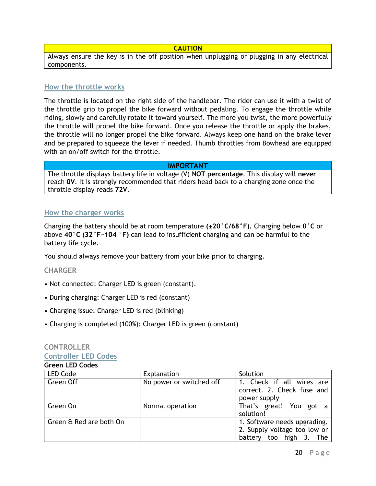#### **CAUTION**

Always ensure the key is in the off position when unplugging or plugging in any electrical components.

#### **How the throttle works**

The throttle is located on the right side of the handlebar. The rider can use it with a twist of the throttle grip to propel the bike forward without pedaling. To engage the throttle while riding, slowly and carefully rotate it toward yourself. The more you twist, the more powerfully the throttle will propel the bike forward. Once you release the throttle or apply the brakes, the throttle will no longer propel the bike forward. Always keep one hand on the brake lever and be prepared to squeeze the lever if needed. Thumb throttles from Bowhead are equipped with an on/off switch for the throttle.

#### **IMPORTANT**

The throttle displays battery life in voltage (V) **NOT percentage**. This display will **never** reach **0V**. It is strongly recommended that riders head back to a charging zone once the throttle display reads **72V**.

### **How the charger works**

Charging the battery should be at room temperature **(±20°C/68°F).** Charging below **0°C** or above **40°C (32°F~104 °F)** can lead to insufficient charging and can be harmful to the battery life cycle.

You should always remove your battery from your bike prior to charging.

#### **CHARGER**

- Not connected: Charger LED is green (constant).
- During charging: Charger LED is red (constant)
- Charging issue: Charger LED is red (blinking)
- Charging is completed (100%): Charger LED is green (constant)

#### **CONTROLLER Controller LED Codes**

### **Green LED Codes**

| <b>LED Code</b>         | Explanation              | Solution                                                                                   |
|-------------------------|--------------------------|--------------------------------------------------------------------------------------------|
| Green Off               | No power or switched off | 1. Check if all wires are<br>correct. 2. Check fuse and<br>power supply                    |
| Green On                | Normal operation         | That's great! You got a<br>solution!                                                       |
| Green & Red are both On |                          | 1. Software needs upgrading.<br>2. Supply voltage too low or<br>battery too high 3.<br>The |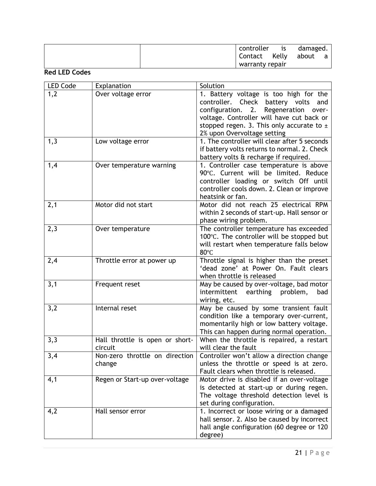| controller      | <b>is</b> | damaged. |   |
|-----------------|-----------|----------|---|
| Contact         | Kelly     | about    | a |
| warranty repair |           |          |   |

# **Red LED Codes**

| <b>LED Code</b> | Explanation                                | Solution                                                                                                                                                                                                                                                    |
|-----------------|--------------------------------------------|-------------------------------------------------------------------------------------------------------------------------------------------------------------------------------------------------------------------------------------------------------------|
| 1,2             | Over voltage error                         | 1. Battery voltage is too high for the<br>controller. Check battery volts<br>and<br>configuration.<br>2. Regeneration<br>over-<br>voltage. Controller will have cut back or<br>stopped regen. 3. This only accurate to $\pm$<br>2% upon Overvoltage setting |
| 1,3             | Low voltage error                          | 1. The controller will clear after 5 seconds<br>if battery volts returns to normal. 2. Check<br>battery volts & recharge if required.                                                                                                                       |
| 1,4             | Over temperature warning                   | 1. Controller case temperature is above<br>90°C. Current will be limited. Reduce<br>controller loading or switch Off until<br>controller cools down. 2. Clean or improve<br>heatsink or fan.                                                                |
| 2,1             | Motor did not start                        | Motor did not reach 25 electrical RPM<br>within 2 seconds of start-up. Hall sensor or<br>phase wiring problem.                                                                                                                                              |
| 2,3             | Over temperature                           | The controller temperature has exceeded<br>100°C. The controller will be stopped but<br>will restart when temperature falls below<br>80°C                                                                                                                   |
| 2,4             | Throttle error at power up                 | Throttle signal is higher than the preset<br>'dead zone' at Power On. Fault clears<br>when throttle is released                                                                                                                                             |
| 3,1             | Frequent reset                             | May be caused by over-voltage, bad motor<br>intermittent<br>earthing<br>problem,<br>bad<br>wiring, etc.                                                                                                                                                     |
| 3,2             | Internal reset                             | May be caused by some transient fault<br>condition like a temporary over-current,<br>momentarily high or low battery voltage.<br>This can happen during normal operation.                                                                                   |
| 3,3             | Hall throttle is open or short-<br>circuit | When the throttle is repaired, a restart<br>will clear the fault                                                                                                                                                                                            |
| 3,4             | Non-zero throttle on direction<br>change   | Controller won't allow a direction change<br>unless the throttle or speed is at zero.<br>Fault clears when throttle is released.                                                                                                                            |
| 4,1             | Regen or Start-up over-voltage             | Motor drive is disabled if an over-voltage<br>is detected at start-up or during regen.<br>The voltage threshold detection level is<br>set during configuration.                                                                                             |
| 4,2             | Hall sensor error                          | 1. Incorrect or loose wiring or a damaged<br>hall sensor. 2. Also be caused by incorrect<br>hall angle configuration (60 degree or 120<br>degree)                                                                                                           |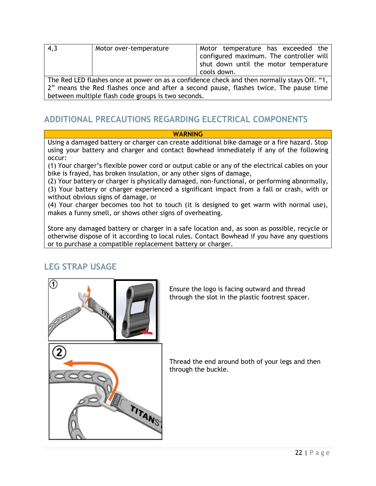| 4,3                                                                                         | Motor over-temperature | Motor temperature has exceeded the<br>configured maximum. The controller will<br>shut down until the motor temperature<br>cools down. |
|---------------------------------------------------------------------------------------------|------------------------|---------------------------------------------------------------------------------------------------------------------------------------|
| The Red LED flashes once at power on as a confidence check and then normally stays Off. "1, |                        |                                                                                                                                       |
|                                                                                             |                        |                                                                                                                                       |
| 2" means the Red flashes once and after a second pause, flashes twice. The pause time       |                        |                                                                                                                                       |
| between multiple flash code groups is two seconds.                                          |                        |                                                                                                                                       |

# **ADDITIONAL PRECAUTIONS REGARDING ELECTRICAL COMPONENTS**

### **WARNING**

Using a damaged battery or charger can create additional bike damage or a fire hazard. Stop using your battery and charger and contact Bowhead immediately if any of the following occur:

(1) Your charger's flexible power cord or output cable or any of the electrical cables on your bike is frayed, has broken insulation, or any other signs of damage,

(2) Your battery or charger is physically damaged, non-functional, or performing abnormally, (3) Your battery or charger experienced a significant impact from a fall or crash, with or without obvious signs of damage, or

(4) Your charger becomes too hot to touch (it is designed to get warm with normal use), makes a funny smell, or shows other signs of overheating.

Store any damaged battery or charger in a safe location and, as soon as possible, recycle or otherwise dispose of it according to local rules. Contact Bowhead if you have any questions or to purchase a compatible replacement battery or charger.

# **LEG STRAP USAGE**



Ensure the logo is facing outward and thread through the slot in the plastic footrest spacer.

Thread the end around both of your legs and then through the buckle.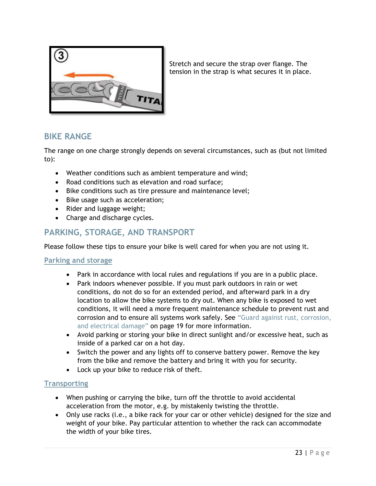

Stretch and secure the strap over flange. The tension in the strap is what secures it in place.

# **BIKE RANGE**

The range on one charge strongly depends on several circumstances, such as (but not limited to):

- Weather conditions such as ambient temperature and wind;
- Road conditions such as elevation and road surface;
- Bike conditions such as tire pressure and maintenance level;
- Bike usage such as acceleration;
- Rider and luggage weight;
- Charge and discharge cycles.

# **PARKING, STORAGE, AND TRANSPORT**

Please follow these tips to ensure your bike is well cared for when you are not using it.

### **Parking and storage**

- Park in accordance with local rules and regulations if you are in a public place.
- Park indoors whenever possible. If you must park outdoors in rain or wet conditions, do not do so for an extended period, and afterward park in a dry location to allow the bike systems to dry out. When any bike is exposed to wet conditions, it will need a more frequent maintenance schedule to prevent rust and corrosion and to ensure all systems work safely. See "Guard against rust, corrosion, and electrical damage" on page 19 for more information.
- Avoid parking or storing your bike in direct sunlight and/or excessive heat, such as inside of a parked car on a hot day.
- Switch the power and any lights off to conserve battery power. Remove the key from the bike and remove the battery and bring it with you for security.
- Lock up your bike to reduce risk of theft.

# **Transporting**

- When pushing or carrying the bike, turn off the throttle to avoid accidental acceleration from the motor, e.g. by mistakenly twisting the throttle.
- Only use racks (i.e., a bike rack for your car or other vehicle) designed for the size and weight of your bike. Pay particular attention to whether the rack can accommodate the width of your bike tires.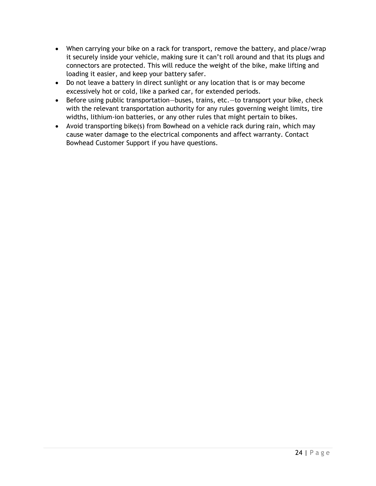- When carrying your bike on a rack for transport, remove the battery, and place/wrap it securely inside your vehicle, making sure it can't roll around and that its plugs and connectors are protected. This will reduce the weight of the bike, make lifting and loading it easier, and keep your battery safer.
- Do not leave a battery in direct sunlight or any location that is or may become excessively hot or cold, like a parked car, for extended periods.
- Before using public transportation—buses, trains, etc.—to transport your bike, check with the relevant transportation authority for any rules governing weight limits, tire widths, lithium-ion batteries, or any other rules that might pertain to bikes.
- <span id="page-23-0"></span>• Avoid transporting bike(s) from Bowhead on a vehicle rack during rain, which may cause water damage to the electrical components and affect warranty. Contact Bowhead Customer Support if you have questions.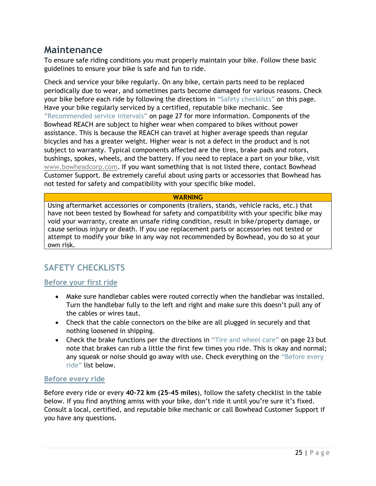# **Maintenance**

To ensure safe riding conditions you must properly maintain your bike. Follow these basic guidelines to ensure your bike is safe and fun to ride.

Check and service your bike regularly. On any bike, certain parts need to be replaced periodically due to wear, and sometimes parts become damaged for various reasons. Check your bike before each ride by following the directions in "Safety checklists" on this page. Have your bike regularly serviced by a certified, reputable bike mechanic. See "Recommended service intervals" on page 27 for more information. Components of the Bowhead REACH are subject to higher wear when compared to bikes without power assistance. This is because the REACH can travel at higher average speeds than regular bicycles and has a greater weight. Higher wear is not a defect in the product and is not subject to warranty. Typical components affected are the tires, brake pads and rotors, bushings, spokes, wheels, and the battery. If you need to replace a part on your bike, visit [www.bowheadcorp.com.](http://www.bowheadcorp.com/) If you want something that is not listed there, contact Bowhead Customer Support. Be extremely careful about using parts or accessories that Bowhead has not tested for safety and compatibility with your specific bike model.

### **WARNING**

Using aftermarket accessories or components (trailers, stands, vehicle racks, etc.) that have not been tested by Bowhead for safety and compatibility with your specific bike may void your warranty, create an unsafe riding condition, result in bike/property damage, or cause serious injury or death. If you use replacement parts or accessories not tested or attempt to modify your bike in any way not recommended by Bowhead, you do so at your own risk.

# **SAFETY CHECKLISTS**

# **Before your first ride**

- Make sure handlebar cables were routed correctly when the handlebar was installed. Turn the handlebar fully to the left and right and make sure this doesn't pull any of the cables or wires taut.
- Check that the cable connectors on the bike are all plugged in securely and that nothing loosened in shipping.
- Check the brake functions per the directions in "Tire and wheel care" on page 23 but note that brakes can rub a little the first few times you ride. This is okay and normal; any squeak or noise should go away with use. Check everything on the "Before every ride" list below.

# **Before every ride**

Before every ride or every **40–72 km (25–45 miles**), follow the safety checklist in the table below. If you find anything amiss with your bike, don't ride it until you're sure it's fixed. Consult a local, certified, and reputable bike mechanic or call Bowhead Customer Support if you have any questions.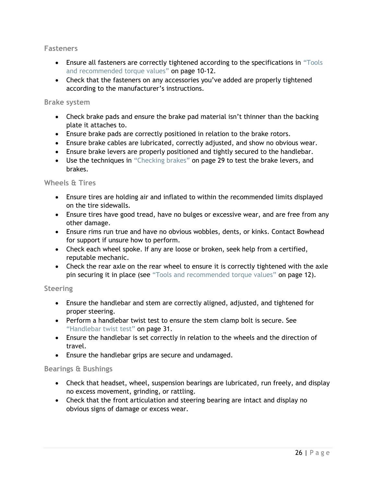### **Fasteners**

- Ensure all fasteners are correctly tightened according to the specifications in "Tools and recommended torque values" on page 10-12.
- Check that the fasteners on any accessories you've added are properly tightened according to the manufacturer's instructions.

### **Brake system**

- Check brake pads and ensure the brake pad material isn't thinner than the backing plate it attaches to.
- Ensure brake pads are correctly positioned in relation to the brake rotors.
- Ensure brake cables are lubricated, correctly adjusted, and show no obvious wear.
- Ensure brake levers are properly positioned and tightly secured to the handlebar.
- Use the techniques in "Checking brakes" on page 29 to test the brake levers, and brakes.

### **Wheels & Tires**

- Ensure tires are holding air and inflated to within the recommended limits displayed on the tire sidewalls.
- Ensure tires have good tread, have no bulges or excessive wear, and are free from any other damage.
- Ensure rims run true and have no obvious wobbles, dents, or kinks. Contact Bowhead for support if unsure how to perform.
- Check each wheel spoke. If any are loose or broken, seek help from a certified, reputable mechanic.
- Check the rear axle on the rear wheel to ensure it is correctly tightened with the axle pin securing it in place (see "Tools and recommended torque values" on page 12).

### **Steering**

- Ensure the handlebar and stem are correctly aligned, adjusted, and tightened for proper steering.
- Perform a handlebar twist test to ensure the stem clamp bolt is secure. See "Handlebar twist test" on page 31.
- Ensure the handlebar is set correctly in relation to the wheels and the direction of travel.
- Ensure the handlebar grips are secure and undamaged.

### **Bearings & Bushings**

- Check that headset, wheel, suspension bearings are lubricated, run freely, and display no excess movement, grinding, or rattling.
- Check that the front articulation and steering bearing are intact and display no obvious signs of damage or excess wear.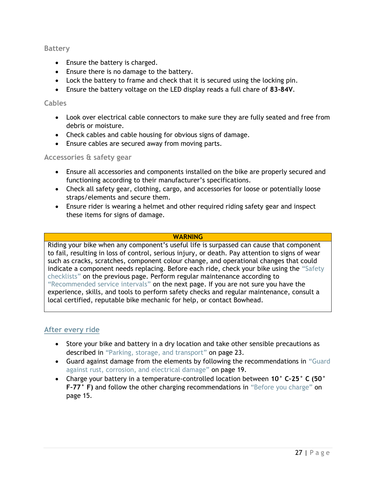### **Battery**

- Ensure the battery is charged.
- Ensure there is no damage to the battery.
- Lock the battery to frame and check that it is secured using the locking pin.
- Ensure the battery voltage on the LED display reads a full chare of **83-84V**.

### **Cables**

- Look over electrical cable connectors to make sure they are fully seated and free from debris or moisture.
- Check cables and cable housing for obvious signs of damage.
- Ensure cables are secured away from moving parts.

# **Accessories & safety gear**

- Ensure all accessories and components installed on the bike are properly secured and functioning according to their manufacturer's specifications.
- Check all safety gear, clothing, cargo, and accessories for loose or potentially loose straps/elements and secure them.
- Ensure rider is wearing a helmet and other required riding safety gear and inspect these items for signs of damage.

### **WARNING**

Riding your bike when any component's useful life is surpassed can cause that component to fail, resulting in loss of control, serious injury, or death. Pay attention to signs of wear such as cracks, scratches, component colour change, and operational changes that could indicate a component needs replacing. Before each ride, check your bike using the "Safety checklists" on the previous page. Perform regular maintenance according to "Recommended service intervals" on the next page. If you are not sure you have the experience, skills, and tools to perform safety checks and regular maintenance, consult a local certified, reputable bike mechanic for help, or contact Bowhead.

# **After every ride**

- Store your bike and battery in a dry location and take other sensible precautions as described in "Parking, storage, and transport" on page 23.
- Guard against damage from the elements by following the recommendations in "Guard against rust, corrosion, and electrical damage" on page 19.
- Charge your battery in a temperature-controlled location between **10° C–25° C (50° F–77° F)** and follow the other charging recommendations in "Before you charge" on page 15.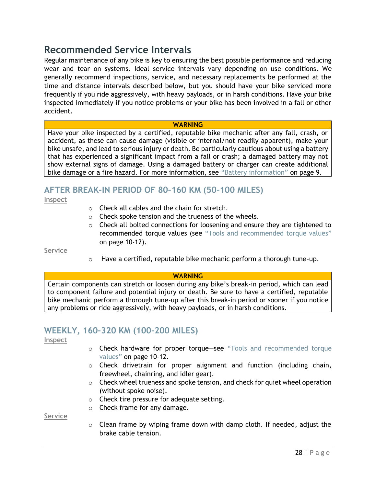# <span id="page-27-0"></span>**Recommended Service Intervals**

Regular maintenance of any bike is key to ensuring the best possible performance and reducing wear and tear on systems. Ideal service intervals vary depending on use conditions. We generally recommend inspections, service, and necessary replacements be performed at the time and distance intervals described below, but you should have your bike serviced more frequently if you ride aggressively, with heavy payloads, or in harsh conditions. Have your bike inspected immediately if you notice problems or your bike has been involved in a fall or other accident.

#### **WARNING**

Have your bike inspected by a certified, reputable bike mechanic after any fall, crash, or accident, as these can cause damage (visible or internal/not readily apparent), make your bike unsafe, and lead to serious injury or death. Be particularly cautious about using a battery that has experienced a significant impact from a fall or crash; a damaged battery may not show external signs of damage. Using a damaged battery or charger can create additional bike damage or a fire hazard. For more information, see "Battery information" on page 9.

# **AFTER BREAK-IN PERIOD OF 80–160 KM (50–100 MILES)**

**Inspect**

- o Check all cables and the chain for stretch.
- o Check spoke tension and the trueness of the wheels.
- $\circ$  Check all bolted connections for loosening and ensure they are tightened to recommended torque values (see "Tools and recommended torque values" on page 10-12).

**Service**

 $\circ$  Have a certified, reputable bike mechanic perform a thorough tune-up.

#### **WARNING**

Certain components can stretch or loosen during any bike's break-in period, which can lead to component failure and potential injury or death. Be sure to have a certified, reputable bike mechanic perform a thorough tune-up after this break-in period or sooner if you notice any problems or ride aggressively, with heavy payloads, or in harsh conditions.

# **WEEKLY, 160–320 KM (100–200 MILES)**

**Inspect**

- o Check hardware for proper torque—see "Tools and recommended torque values" on page 10-12.
- $\circ$  Check drivetrain for proper alignment and function (including chain, freewheel, chainring, and idler gear).
- $\circ$  Check wheel trueness and spoke tension, and check for quiet wheel operation (without spoke noise).
- o Check tire pressure for adequate setting.
- o Check frame for any damage.

**Service**

 $\circ$  Clean frame by wiping frame down with damp cloth. If needed, adjust the brake cable tension.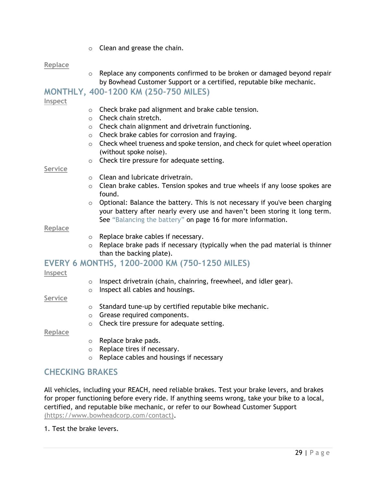$\circ$  Clean and grease the chain.

#### **Replace**

 $\circ$  Replace any components confirmed to be broken or damaged beyond repair by Bowhead Customer Support or a certified, reputable bike mechanic.

# **MONTHLY, 400–1200 KM (250–750 MILES)**

#### **Inspect**

- o Check brake pad alignment and brake cable tension.
- o Check chain stretch.
- o Check chain alignment and drivetrain functioning.
- o Check brake cables for corrosion and fraying.
- $\circ$  Check wheel trueness and spoke tension, and check for quiet wheel operation (without spoke noise).
- o Check tire pressure for adequate setting.

#### **Service**

- o Clean and lubricate drivetrain.
- $\circ$  Clean brake cables. Tension spokes and true wheels if any loose spokes are found.
- o Optional: Balance the battery. This is not necessary if you've been charging your battery after nearly every use and haven't been storing it long term. See "Balancing the battery" on page 16 for more information.

#### **Replace**

- o Replace brake cables if necessary.
- $\circ$  Replace brake pads if necessary (typically when the pad material is thinner than the backing plate).

# **EVERY 6 MONTHS, 1200–2000 KM (750–1250 MILES)**

#### **Inspect**

- o Inspect drivetrain (chain, chainring, freewheel, and idler gear).
- o Inspect all cables and housings.

#### **Service**

- o Standard tune-up by certified reputable bike mechanic.
- o Grease required components.
- o Check tire pressure for adequate setting.

**Replace**

- o Replace brake pads.
- o Replace tires if necessary.
- o Replace cables and housings if necessary

# **CHECKING BRAKES**

All vehicles, including your REACH, need reliable brakes. Test your brake levers, and brakes for proper functioning before every ride. If anything seems wrong, take your bike to a local, certified, and reputable bike mechanic, or refer to our Bowhead Customer Support (https://www.bowheadcorp.com/contact).

1. Test the brake levers.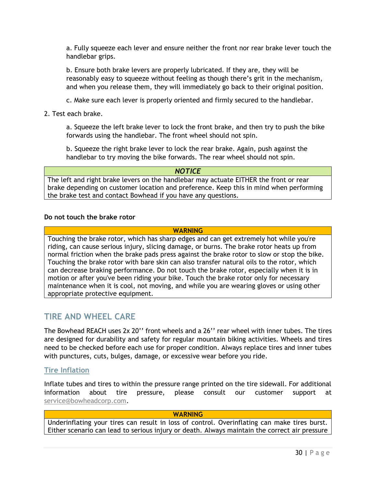a. Fully squeeze each lever and ensure neither the front nor rear brake lever touch the handlebar grips.

b. Ensure both brake levers are properly lubricated. If they are, they will be reasonably easy to squeeze without feeling as though there's grit in the mechanism, and when you release them, they will immediately go back to their original position.

c. Make sure each lever is properly oriented and firmly secured to the handlebar.

2. Test each brake.

a. Squeeze the left brake lever to lock the front brake, and then try to push the bike forwards using the handlebar. The front wheel should not spin.

b. Squeeze the right brake lever to lock the rear brake. Again, push against the handlebar to try moving the bike forwards. The rear wheel should not spin.

*NOTICE* The left and right brake levers on the handlebar may actuate EITHER the front or rear brake depending on customer location and preference. Keep this in mind when performing the brake test and contact Bowhead if you have any questions.

#### **Do not touch the brake rotor**

#### **WARNING**

Touching the brake rotor, which has sharp edges and can get extremely hot while you're riding, can cause serious injury, slicing damage, or burns. The brake rotor heats up from normal friction when the brake pads press against the brake rotor to slow or stop the bike. Touching the brake rotor with bare skin can also transfer natural oils to the rotor, which can decrease braking performance. Do not touch the brake rotor, especially when it is in motion or after you've been riding your bike. Touch the brake rotor only for necessary maintenance when it is cool, not moving, and while you are wearing gloves or using other appropriate protective equipment.

# **TIRE AND WHEEL CARE**

The Bowhead REACH uses 2x 20'' front wheels and a 26'' rear wheel with inner tubes. The tires are designed for durability and safety for regular mountain biking activities. Wheels and tires need to be checked before each use for proper condition. Always replace tires and inner tubes with punctures, cuts, bulges, damage, or excessive wear before you ride.

### **Tire Inflation**

Inflate tubes and tires to within the pressure range printed on the tire sidewall. For additional information about tire pressure, please consult our customer support at [service@bowheadcorp.com.](mailto:service@bowheadcorp.com)

#### **WARNING**

Underinflating your tires can result in loss of control. Overinflating can make tires burst. Either scenario can lead to serious injury or death. Always maintain the correct air pressure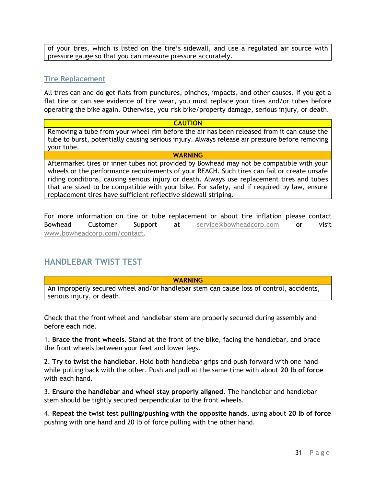of your tires, which is listed on the tire's sidewall, and use a regulated air source with pressure gauge so that you can measure pressure accurately.

# **Tire Replacement**

All tires can and do get flats from punctures, pinches, impacts, and other causes. If you get a flat tire or can see evidence of tire wear, you must replace your tires and/or tubes before operating the bike again. Otherwise, you risk bike/property damage, serious injury, or death.

#### **CAUTION**

Removing a tube from your wheel rim before the air has been released from it can cause the tube to burst, potentially causing serious injury. Always release air pressure before removing your tube.

#### **WARNING**

Aftermarket tires or inner tubes not provided by Bowhead may not be compatible with your wheels or the performance requirements of your REACH. Such tires can fail or create unsafe riding conditions, causing serious injury or death. Always use replacement tires and tubes that are sized to be compatible with your bike. For safety, and if required by law, ensure replacement tires have sufficient reflective sidewall striping.

For more information on tire or tube replacement or about tire inflation please contact Bowhead Customer Support at [service@bowheadcorp.com](mailto:service@bowheadcorp.com) or visit [www.bowheadcorp.com/contact.](http://www.bowheadcorp.com/contact)

# **HANDLEBAR TWIST TEST**

**WARNING**

An improperly secured wheel and/or handlebar stem can cause loss of control, accidents, serious injury, or death.

Check that the front wheel and handlebar stem are properly secured during assembly and before each ride.

1. **Brace the front wheels**. Stand at the front of the bike, facing the handlebar, and brace the front wheels between your feet and lower legs.

2. **Try to twist the handlebar.** Hold both handlebar grips and push forward with one hand while pulling back with the other. Push and pull at the same time with about **20 lb of force** with each hand.

3. **Ensure the handlebar and wheel stay properly aligned.** The handlebar and handlebar stem should be tightly secured perpendicular to the front wheels.

4. **Repeat the twist test pulling/pushing with the opposite hands**, using about **20 lb of force** pushing with one hand and 20 lb of force pulling with the other hand.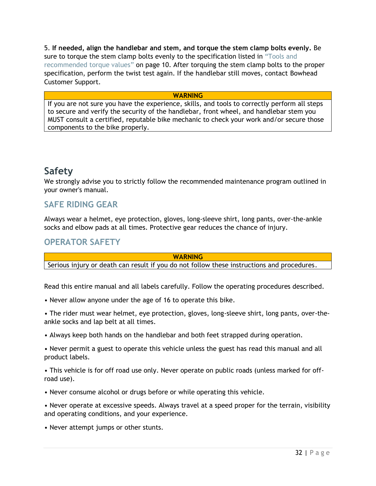5. **If needed, align the handlebar and stem, and torque the stem clamp bolts evenly.** Be sure to torque the stem clamp bolts evenly to the specification listed in "Tools and recommended torque values" on page 10. After torquing the stem clamp bolts to the proper specification, perform the twist test again. If the handlebar still moves, contact Bowhead Customer Support.

#### **WARNING**

<span id="page-31-0"></span>If you are not sure you have the experience, skills, and tools to correctly perform all steps to secure and verify the security of the handlebar, front wheel, and handlebar stem you MUST consult a certified, reputable bike mechanic to check your work and/or secure those components to the bike properly.

# **Safety**

We strongly advise you to strictly follow the recommended maintenance program outlined in your owner's manual.

# **SAFE RIDING GEAR**

Always wear a helmet, eye protection, gloves, long-sleeve shirt, long pants, over-the-ankle socks and elbow pads at all times. Protective gear reduces the chance of injury.

# **OPERATOR SAFETY**

**WARNING**

Serious injury or death can result if you do not follow these instructions and procedures.

Read this entire manual and all labels carefully. Follow the operating procedures described.

- Never allow anyone under the age of 16 to operate this bike.
- The rider must wear helmet, eye protection, gloves, long-sleeve shirt, long pants, over-theankle socks and lap belt at all times.
- Always keep both hands on the handlebar and both feet strapped during operation.
- Never permit a guest to operate this vehicle unless the guest has read this manual and all product labels.
- This vehicle is for off road use only. Never operate on public roads (unless marked for offroad use).
- Never consume alcohol or drugs before or while operating this vehicle.

• Never operate at excessive speeds. Always travel at a speed proper for the terrain, visibility and operating conditions, and your experience.

• Never attempt jumps or other stunts.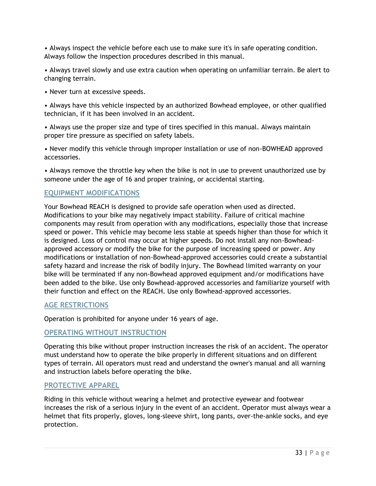• Always inspect the vehicle before each use to make sure it's in safe operating condition. Always follow the inspection procedures described in this manual.

• Always travel slowly and use extra caution when operating on unfamiliar terrain. Be alert to changing terrain.

• Never turn at excessive speeds.

• Always have this vehicle inspected by an authorized Bowhead employee, or other qualified technician, if it has been involved in an accident.

• Always use the proper size and type of tires specified in this manual. Always maintain proper tire pressure as specified on safety labels.

• Never modify this vehicle through improper installation or use of non-BOWHEAD approved accessories.

• Always remove the throttle key when the bike is not in use to prevent unauthorized use by someone under the age of 16 and proper training, or accidental starting.

# **EQUIPMENT MODIFICATIONS**

Your Bowhead REACH is designed to provide safe operation when used as directed. Modifications to your bike may negatively impact stability. Failure of critical machine components may result from operation with any modifications, especially those that increase speed or power. This vehicle may become less stable at speeds higher than those for which it is designed. Loss of control may occur at higher speeds. Do not install any non-Bowheadapproved accessory or modify the bike for the purpose of increasing speed or power. Any modifications or installation of non-Bowhead-approved accessories could create a substantial safety hazard and increase the risk of bodily injury. The Bowhead limited warranty on your bike will be terminated if any non-Bowhead approved equipment and/or modifications have been added to the bike. Use only Bowhead-approved accessories and familiarize yourself with their function and effect on the REACH. Use only Bowhead-approved accessories.

# **AGE RESTRICTIONS**

Operation is prohibited for anyone under 16 years of age.

# **OPERATING WITHOUT INSTRUCTION**

Operating this bike without proper instruction increases the risk of an accident. The operator must understand how to operate the bike properly in different situations and on different types of terrain. All operators must read and understand the owner's manual and all warning and instruction labels before operating the bike.

# **PROTECTIVE APPAREL**

Riding in this vehicle without wearing a helmet and protective eyewear and footwear increases the risk of a serious injury in the event of an accident. Operator must always wear a helmet that fits properly, gloves, long-sleeve shirt, long pants, over-the-ankle socks, and eye protection.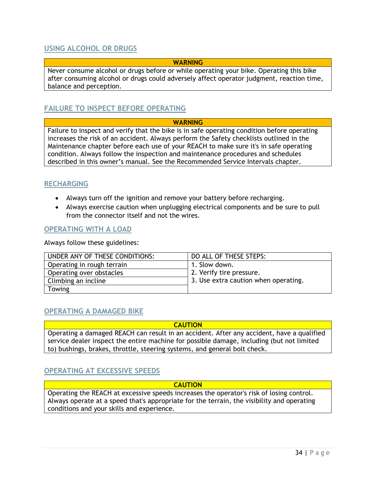# **USING ALCOHOL OR DRUGS**

### **WARNING**

Never consume alcohol or drugs before or while operating your bike. Operating this bike after consuming alcohol or drugs could adversely affect operator judgment, reaction time, balance and perception.

# **FAILURE TO INSPECT BEFORE OPERATING**

#### **WARNING**

Failure to inspect and verify that the bike is in safe operating condition before operating increases the risk of an accident. Always perform the Safety checklists outlined in the Maintenance chapter before each use of your REACH to make sure it's in safe operating condition. Always follow the inspection and maintenance procedures and schedules described in this owner's manual. See the Recommended Service Intervals chapter.

# **RECHARGING**

- Always turn off the ignition and remove your battery before recharging.
- Always exercise caution when unplugging electrical components and be sure to pull from the connector itself and not the wires.

#### **OPERATING WITH A LOAD**

Always follow these guidelines:

| UNDER ANY OF THESE CONDITIONS: | DO ALL OF THESE STEPS:               |
|--------------------------------|--------------------------------------|
| Operating in rough terrain     | 1. Slow down.                        |
| Operating over obstacles       | 2. Verify tire pressure.             |
| Climbing an incline            | 3. Use extra caution when operating. |
| <b>Towing</b>                  |                                      |

### **OPERATING A DAMAGED BIKE**

**CAUTION** Operating a damaged REACH can result in an accident. After any accident, have a qualified service dealer inspect the entire machine for possible damage, including (but not limited to) bushings, brakes, throttle, steering systems, and general bolt check.

# **OPERATING AT EXCESSIVE SPEEDS**

#### **CAUTION**

Operating the REACH at excessive speeds increases the operator's risk of losing control. Always operate at a speed that's appropriate for the terrain, the visibility and operating conditions and your skills and experience.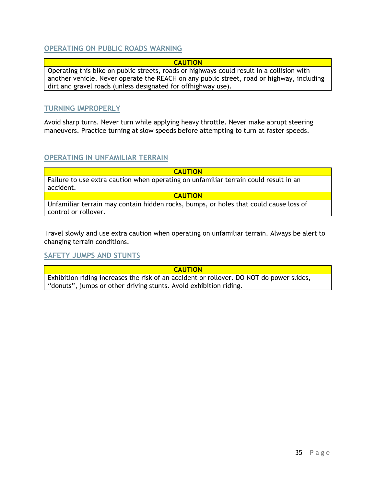# **OPERATING ON PUBLIC ROADS WARNING**

### **CAUTION**

Operating this bike on public streets, roads or highways could result in a collision with another vehicle. Never operate the REACH on any public street, road or highway, including dirt and gravel roads (unless designated for offhighway use).

### **TURNING IMPROPERLY**

Avoid sharp turns. Never turn while applying heavy throttle. Never make abrupt steering maneuvers. Practice turning at slow speeds before attempting to turn at faster speeds.

### **OPERATING IN UNFAMILIAR TERRAIN**

**CAUTION** Failure to use extra caution when operating on unfamiliar terrain could result in an accident. **CAUTION**

Unfamiliar terrain may contain hidden rocks, bumps, or holes that could cause loss of control or rollover.

Travel slowly and use extra caution when operating on unfamiliar terrain. Always be alert to changing terrain conditions.

# **SAFETY JUMPS AND STUNTS**

**CAUTION**

Exhibition riding increases the risk of an accident or rollover. DO NOT do power slides, "donuts", jumps or other driving stunts. Avoid exhibition riding.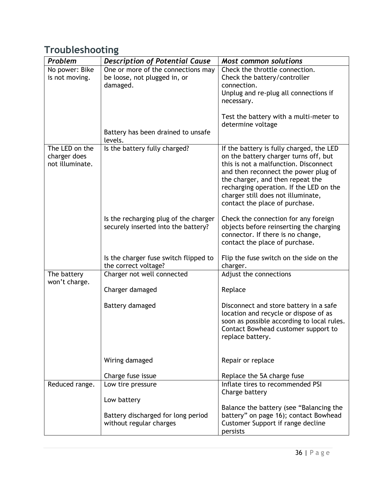# <span id="page-35-0"></span>**Troubleshooting**

| Problem         | <b>Description of Potential Cause</b> | <b>Most common solutions</b>                                                     |
|-----------------|---------------------------------------|----------------------------------------------------------------------------------|
| No power: Bike  | One or more of the connections may    | Check the throttle connection.                                                   |
| is not moving.  | be loose, not plugged in, or          | Check the battery/controller                                                     |
|                 | damaged.                              | connection.                                                                      |
|                 |                                       | Unplug and re-plug all connections if                                            |
|                 |                                       | necessary.                                                                       |
|                 |                                       | Test the battery with a multi-meter to                                           |
|                 |                                       | determine voltage                                                                |
|                 | Battery has been drained to unsafe    |                                                                                  |
|                 | levels.                               |                                                                                  |
| The LED on the  | Is the battery fully charged?         | If the battery is fully charged, the LED                                         |
| charger does    |                                       | on the battery charger turns off, but                                            |
| not illuminate. |                                       | this is not a malfunction. Disconnect                                            |
|                 |                                       | and then reconnect the power plug of<br>the charger, and then repeat the         |
|                 |                                       | recharging operation. If the LED on the                                          |
|                 |                                       | charger still does not illuminate,                                               |
|                 |                                       | contact the place of purchase.                                                   |
|                 |                                       |                                                                                  |
|                 | Is the recharging plug of the charger | Check the connection for any foreign                                             |
|                 | securely inserted into the battery?   | objects before reinserting the charging                                          |
|                 |                                       | connector. If there is no change,<br>contact the place of purchase.              |
|                 |                                       |                                                                                  |
|                 | Is the charger fuse switch flipped to | Flip the fuse switch on the side on the                                          |
|                 | the correct voltage?                  | charger.                                                                         |
| The battery     | Charger not well connected            | Adjust the connections                                                           |
| won't charge.   |                                       |                                                                                  |
|                 | Charger damaged                       | Replace                                                                          |
|                 | Battery damaged                       | Disconnect and store battery in a safe                                           |
|                 |                                       | location and recycle or dispose of as                                            |
|                 |                                       | soon as possible according to local rules.                                       |
|                 |                                       | Contact Bowhead customer support to                                              |
|                 |                                       | replace battery.                                                                 |
|                 |                                       |                                                                                  |
|                 | Wiring damaged                        | Repair or replace                                                                |
|                 |                                       |                                                                                  |
|                 | Charge fuse issue                     | Replace the 5A charge fuse                                                       |
| Reduced range.  | Low tire pressure                     | Inflate tires to recommended PSI                                                 |
|                 |                                       | Charge battery                                                                   |
|                 | Low battery                           |                                                                                  |
|                 | Battery discharged for long period    | Balance the battery (see "Balancing the<br>battery" on page 16); contact Bowhead |
|                 | without regular charges               | Customer Support if range decline                                                |
|                 |                                       | persists                                                                         |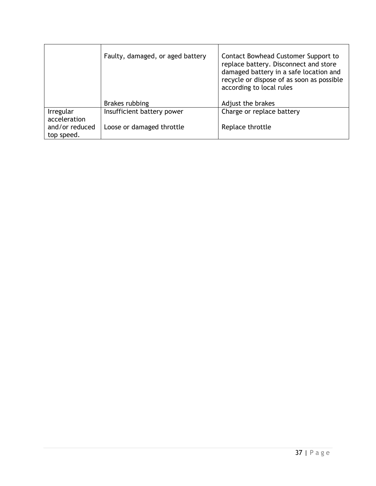|                              | Faulty, damaged, or aged battery | Contact Bowhead Customer Support to<br>replace battery. Disconnect and store<br>damaged battery in a safe location and<br>recycle or dispose of as soon as possible<br>according to local rules |
|------------------------------|----------------------------------|-------------------------------------------------------------------------------------------------------------------------------------------------------------------------------------------------|
|                              | Brakes rubbing                   | Adjust the brakes                                                                                                                                                                               |
| Irregular<br>acceleration    | Insufficient battery power       | Charge or replace battery                                                                                                                                                                       |
| and/or reduced<br>top speed. | Loose or damaged throttle        | Replace throttle                                                                                                                                                                                |